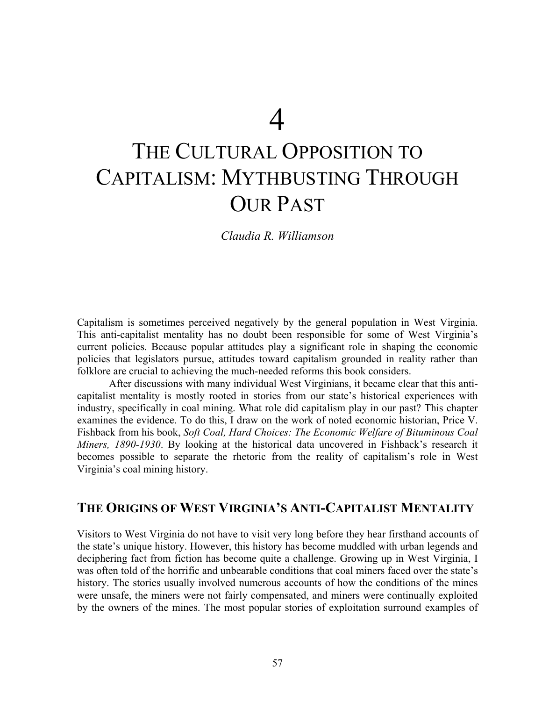# THE CULTURAL OPPOSITION TO CAPITALISM: MYTHBUSTING THROUGH OUR PAST

*Claudia R. Williamson*

Capitalism is sometimes perceived negatively by the general population in West Virginia. This anti-capitalist mentality has no doubt been responsible for some of West Virginia's current policies. Because popular attitudes play a significant role in shaping the economic policies that legislators pursue, attitudes toward capitalism grounded in reality rather than folklore are crucial to achieving the much-needed reforms this book considers.

 After discussions with many individual West Virginians, it became clear that this anticapitalist mentality is mostly rooted in stories from our state's historical experiences with industry, specifically in coal mining. What role did capitalism play in our past? This chapter examines the evidence. To do this, I draw on the work of noted economic historian, Price V. Fishback from his book, *Soft Coal, Hard Choices: The Economic Welfare of Bituminous Coal Miners, 1890-1930*. By looking at the historical data uncovered in Fishback's research it becomes possible to separate the rhetoric from the reality of capitalism's role in West Virginia's coal mining history.

#### **THE ORIGINS OF WEST VIRGINIA'S ANTI-CAPITALIST MENTALITY**

Visitors to West Virginia do not have to visit very long before they hear firsthand accounts of the state's unique history. However, this history has become muddled with urban legends and deciphering fact from fiction has become quite a challenge. Growing up in West Virginia, I was often told of the horrific and unbearable conditions that coal miners faced over the state's history. The stories usually involved numerous accounts of how the conditions of the mines were unsafe, the miners were not fairly compensated, and miners were continually exploited by the owners of the mines. The most popular stories of exploitation surround examples of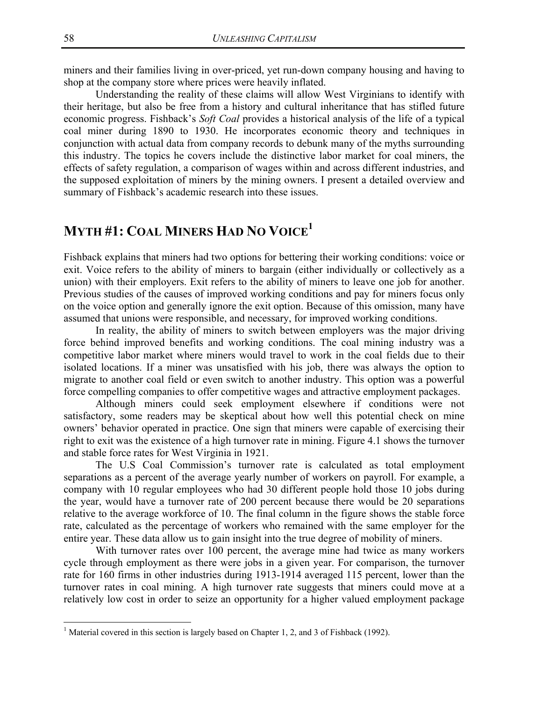miners and their families living in over-priced, yet run-down company housing and having to shop at the company store where prices were heavily inflated.

 Understanding the reality of these claims will allow West Virginians to identify with their heritage, but also be free from a history and cultural inheritance that has stifled future economic progress. Fishback's *Soft Coal* provides a historical analysis of the life of a typical coal miner during 1890 to 1930. He incorporates economic theory and techniques in conjunction with actual data from company records to debunk many of the myths surrounding this industry. The topics he covers include the distinctive labor market for coal miners, the effects of safety regulation, a comparison of wages within and across different industries, and the supposed exploitation of miners by the mining owners. I present a detailed overview and summary of Fishback's academic research into these issues.

## **MYTH #1: COAL MINERS HAD NO VOICE1**

Fishback explains that miners had two options for bettering their working conditions: voice or exit. Voice refers to the ability of miners to bargain (either individually or collectively as a union) with their employers. Exit refers to the ability of miners to leave one job for another. Previous studies of the causes of improved working conditions and pay for miners focus only on the voice option and generally ignore the exit option. Because of this omission, many have assumed that unions were responsible, and necessary, for improved working conditions.

In reality, the ability of miners to switch between employers was the major driving force behind improved benefits and working conditions. The coal mining industry was a competitive labor market where miners would travel to work in the coal fields due to their isolated locations. If a miner was unsatisfied with his job, there was always the option to migrate to another coal field or even switch to another industry. This option was a powerful force compelling companies to offer competitive wages and attractive employment packages.

 Although miners could seek employment elsewhere if conditions were not satisfactory, some readers may be skeptical about how well this potential check on mine owners' behavior operated in practice. One sign that miners were capable of exercising their right to exit was the existence of a high turnover rate in mining. Figure 4.1 shows the turnover and stable force rates for West Virginia in 1921.

The U.S Coal Commission's turnover rate is calculated as total employment separations as a percent of the average yearly number of workers on payroll. For example, a company with 10 regular employees who had 30 different people hold those 10 jobs during the year, would have a turnover rate of 200 percent because there would be 20 separations relative to the average workforce of 10. The final column in the figure shows the stable force rate, calculated as the percentage of workers who remained with the same employer for the entire year. These data allow us to gain insight into the true degree of mobility of miners.

With turnover rates over 100 percent, the average mine had twice as many workers cycle through employment as there were jobs in a given year. For comparison, the turnover rate for 160 firms in other industries during 1913-1914 averaged 115 percent, lower than the turnover rates in coal mining. A high turnover rate suggests that miners could move at a relatively low cost in order to seize an opportunity for a higher valued employment package

 $\overline{a}$ 

<sup>&</sup>lt;sup>1</sup> Material covered in this section is largely based on Chapter 1, 2, and 3 of Fishback (1992).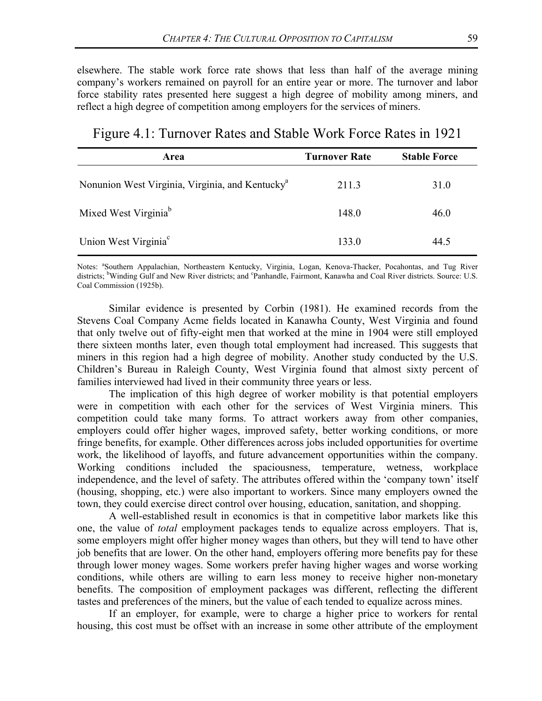elsewhere. The stable work force rate shows that less than half of the average mining company's workers remained on payroll for an entire year or more. The turnover and labor force stability rates presented here suggest a high degree of mobility among miners, and reflect a high degree of competition among employers for the services of miners.

Figure 4.1: Turnover Rates and Stable Work Force Rates in 1921

| Area                                                        | <b>Turnover Rate</b> | <b>Stable Force</b> |
|-------------------------------------------------------------|----------------------|---------------------|
| Nonunion West Virginia, Virginia, and Kentucky <sup>a</sup> | 211.3                | 31.0                |
| Mixed West Virginia <sup>b</sup>                            | 148.0                | 46.0                |
| Union West Virginia <sup>c</sup>                            | 133.0                | 44.5                |

Notes: <sup>a</sup>Southern Appalachian, Northeastern Kentucky, Virginia, Logan, Kenova-Thacker, Pocahontas, and Tug River districts; <sup>b</sup>Winding Gulf and New River districts; and <sup>c</sup>Panhandle, Fairmont, Kanawha and Coal River districts. Source: U.S. Coal Commission (1925b).

Similar evidence is presented by Corbin (1981). He examined records from the Stevens Coal Company Acme fields located in Kanawha County, West Virginia and found that only twelve out of fifty-eight men that worked at the mine in 1904 were still employed there sixteen months later, even though total employment had increased. This suggests that miners in this region had a high degree of mobility. Another study conducted by the U.S. Children's Bureau in Raleigh County, West Virginia found that almost sixty percent of families interviewed had lived in their community three years or less.

 The implication of this high degree of worker mobility is that potential employers were in competition with each other for the services of West Virginia miners. This competition could take many forms. To attract workers away from other companies, employers could offer higher wages, improved safety, better working conditions, or more fringe benefits, for example. Other differences across jobs included opportunities for overtime work, the likelihood of layoffs, and future advancement opportunities within the company. Working conditions included the spaciousness, temperature, wetness, workplace independence, and the level of safety. The attributes offered within the 'company town' itself (housing, shopping, etc.) were also important to workers. Since many employers owned the town, they could exercise direct control over housing, education, sanitation, and shopping.

A well-established result in economics is that in competitive labor markets like this one, the value of *total* employment packages tends to equalize across employers. That is, some employers might offer higher money wages than others, but they will tend to have other job benefits that are lower. On the other hand, employers offering more benefits pay for these through lower money wages. Some workers prefer having higher wages and worse working conditions, while others are willing to earn less money to receive higher non-monetary benefits. The composition of employment packages was different, reflecting the different tastes and preferences of the miners, but the value of each tended to equalize across mines.

 If an employer, for example, were to charge a higher price to workers for rental housing, this cost must be offset with an increase in some other attribute of the employment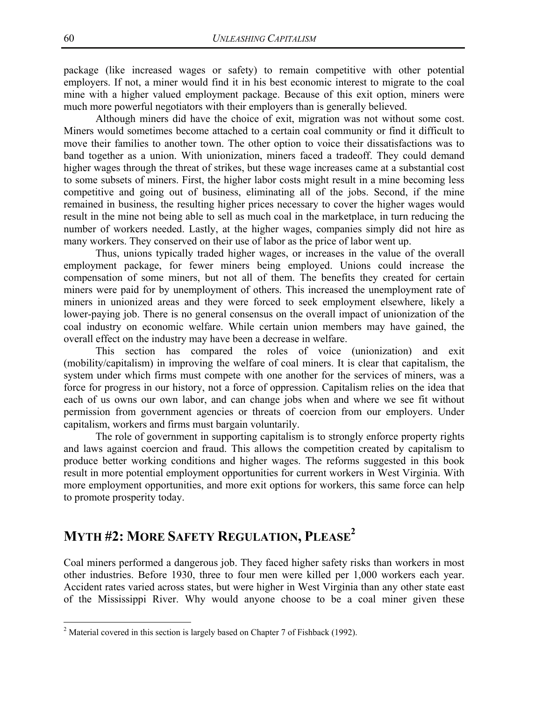package (like increased wages or safety) to remain competitive with other potential employers. If not, a miner would find it in his best economic interest to migrate to the coal mine with a higher valued employment package. Because of this exit option, miners were much more powerful negotiators with their employers than is generally believed.

 Although miners did have the choice of exit, migration was not without some cost. Miners would sometimes become attached to a certain coal community or find it difficult to move their families to another town. The other option to voice their dissatisfactions was to band together as a union. With unionization, miners faced a tradeoff. They could demand higher wages through the threat of strikes, but these wage increases came at a substantial cost to some subsets of miners. First, the higher labor costs might result in a mine becoming less competitive and going out of business, eliminating all of the jobs. Second, if the mine remained in business, the resulting higher prices necessary to cover the higher wages would result in the mine not being able to sell as much coal in the marketplace, in turn reducing the number of workers needed. Lastly, at the higher wages, companies simply did not hire as many workers. They conserved on their use of labor as the price of labor went up.

Thus, unions typically traded higher wages, or increases in the value of the overall employment package, for fewer miners being employed. Unions could increase the compensation of some miners, but not all of them. The benefits they created for certain miners were paid for by unemployment of others. This increased the unemployment rate of miners in unionized areas and they were forced to seek employment elsewhere, likely a lower-paying job. There is no general consensus on the overall impact of unionization of the coal industry on economic welfare. While certain union members may have gained, the overall effect on the industry may have been a decrease in welfare.

This section has compared the roles of voice (unionization) and exit (mobility/capitalism) in improving the welfare of coal miners. It is clear that capitalism, the system under which firms must compete with one another for the services of miners, was a force for progress in our history, not a force of oppression. Capitalism relies on the idea that each of us owns our own labor, and can change jobs when and where we see fit without permission from government agencies or threats of coercion from our employers. Under capitalism, workers and firms must bargain voluntarily.

The role of government in supporting capitalism is to strongly enforce property rights and laws against coercion and fraud. This allows the competition created by capitalism to produce better working conditions and higher wages. The reforms suggested in this book result in more potential employment opportunities for current workers in West Virginia. With more employment opportunities, and more exit options for workers, this same force can help to promote prosperity today.

# **MYTH #2: MORE SAFETY REGULATION, PLEASE2**

Coal miners performed a dangerous job. They faced higher safety risks than workers in most other industries. Before 1930, three to four men were killed per 1,000 workers each year. Accident rates varied across states, but were higher in West Virginia than any other state east of the Mississippi River. Why would anyone choose to be a coal miner given these

 $\overline{a}$ 

<sup>&</sup>lt;sup>2</sup> Material covered in this section is largely based on Chapter 7 of Fishback (1992).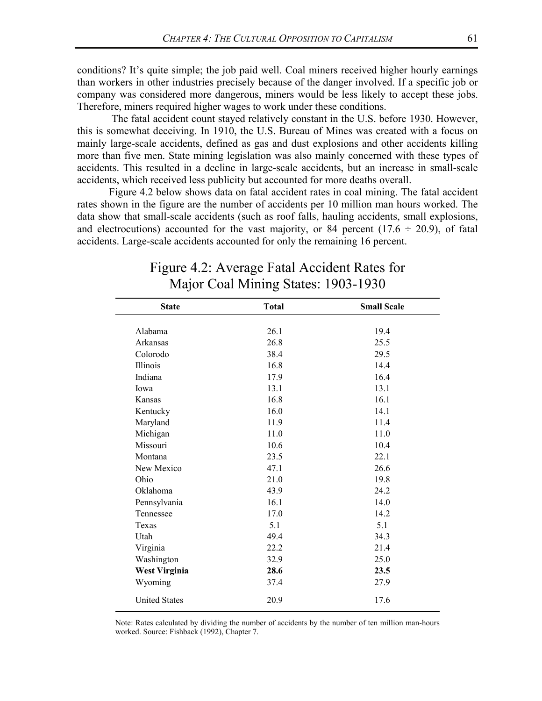conditions? It's quite simple; the job paid well. Coal miners received higher hourly earnings than workers in other industries precisely because of the danger involved. If a specific job or company was considered more dangerous, miners would be less likely to accept these jobs. Therefore, miners required higher wages to work under these conditions.

 The fatal accident count stayed relatively constant in the U.S. before 1930. However, this is somewhat deceiving. In 1910, the U.S. Bureau of Mines was created with a focus on mainly large-scale accidents, defined as gas and dust explosions and other accidents killing more than five men. State mining legislation was also mainly concerned with these types of accidents. This resulted in a decline in large-scale accidents, but an increase in small-scale accidents, which received less publicity but accounted for more deaths overall.

Figure 4.2 below shows data on fatal accident rates in coal mining. The fatal accident rates shown in the figure are the number of accidents per 10 million man hours worked. The data show that small-scale accidents (such as roof falls, hauling accidents, small explosions, and electrocutions) accounted for the vast majority, or 84 percent ( $17.6 \div 20.9$ ), of fatal accidents. Large-scale accidents accounted for only the remaining 16 percent.

| <b>State</b>         | <b>Total</b> | <b>Small Scale</b> |
|----------------------|--------------|--------------------|
|                      |              |                    |
| Alabama              | 26.1         | 19.4               |
| Arkansas             | 26.8         | 25.5               |
| Colorodo             | 38.4         | 29.5               |
| <b>Illinois</b>      | 16.8         | 14.4               |
| Indiana              | 17.9         | 16.4               |
| Iowa                 | 13.1         | 13.1               |
| Kansas               | 16.8         | 16.1               |
| Kentucky             | 16.0         | 14.1               |
| Maryland             | 11.9         | 11.4               |
| Michigan             | 11.0         | 11.0               |
| Missouri             | 10.6         | 10.4               |
| Montana              | 23.5         | 22.1               |
| New Mexico           | 47.1         | 26.6               |
| Ohio                 | 21.0         | 19.8               |
| Oklahoma             | 43.9         | 24.2               |
| Pennsylvania         | 16.1         | 14.0               |
| Tennessee            | 17.0         | 14.2               |
| Texas                | 5.1          | 5.1                |
| Utah                 | 49.4         | 34.3               |
| Virginia             | 22.2         | 21.4               |
| Washington           | 32.9         | 25.0               |
| <b>West Virginia</b> | 28.6         | 23.5               |
| Wyoming              | 37.4         | 27.9               |
| <b>United States</b> | 20.9         | 17.6               |

## Figure 4.2: Average Fatal Accident Rates for Major Coal Mining States: 1903-1930

Note: Rates calculated by dividing the number of accidents by the number of ten million man-hours worked. Source: Fishback (1992), Chapter 7.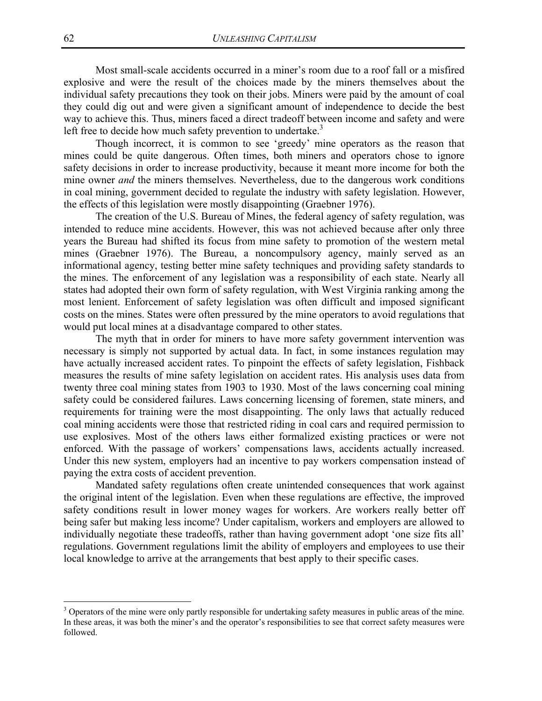Most small-scale accidents occurred in a miner's room due to a roof fall or a misfired explosive and were the result of the choices made by the miners themselves about the individual safety precautions they took on their jobs. Miners were paid by the amount of coal they could dig out and were given a significant amount of independence to decide the best way to achieve this. Thus, miners faced a direct tradeoff between income and safety and were left free to decide how much safety prevention to undertake.<sup>3</sup>

Though incorrect, it is common to see 'greedy' mine operators as the reason that mines could be quite dangerous. Often times, both miners and operators chose to ignore safety decisions in order to increase productivity, because it meant more income for both the mine owner *and* the miners themselves. Nevertheless, due to the dangerous work conditions in coal mining, government decided to regulate the industry with safety legislation. However, the effects of this legislation were mostly disappointing (Graebner 1976).

 The creation of the U.S. Bureau of Mines, the federal agency of safety regulation, was intended to reduce mine accidents. However, this was not achieved because after only three years the Bureau had shifted its focus from mine safety to promotion of the western metal mines (Graebner 1976). The Bureau, a noncompulsory agency, mainly served as an informational agency, testing better mine safety techniques and providing safety standards to the mines. The enforcement of any legislation was a responsibility of each state. Nearly all states had adopted their own form of safety regulation, with West Virginia ranking among the most lenient. Enforcement of safety legislation was often difficult and imposed significant costs on the mines. States were often pressured by the mine operators to avoid regulations that would put local mines at a disadvantage compared to other states.

The myth that in order for miners to have more safety government intervention was necessary is simply not supported by actual data. In fact, in some instances regulation may have actually increased accident rates. To pinpoint the effects of safety legislation, Fishback measures the results of mine safety legislation on accident rates. His analysis uses data from twenty three coal mining states from 1903 to 1930. Most of the laws concerning coal mining safety could be considered failures. Laws concerning licensing of foremen, state miners, and requirements for training were the most disappointing. The only laws that actually reduced coal mining accidents were those that restricted riding in coal cars and required permission to use explosives. Most of the others laws either formalized existing practices or were not enforced. With the passage of workers' compensations laws, accidents actually increased. Under this new system, employers had an incentive to pay workers compensation instead of paying the extra costs of accident prevention.

 Mandated safety regulations often create unintended consequences that work against the original intent of the legislation. Even when these regulations are effective, the improved safety conditions result in lower money wages for workers. Are workers really better off being safer but making less income? Under capitalism, workers and employers are allowed to individually negotiate these tradeoffs, rather than having government adopt 'one size fits all' regulations. Government regulations limit the ability of employers and employees to use their local knowledge to arrive at the arrangements that best apply to their specific cases.

1

<sup>&</sup>lt;sup>3</sup> Operators of the mine were only partly responsible for undertaking safety measures in public areas of the mine. In these areas, it was both the miner's and the operator's responsibilities to see that correct safety measures were followed.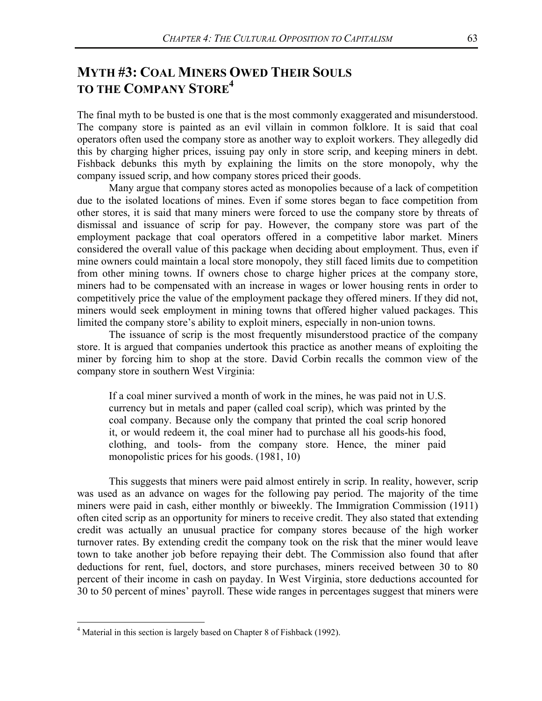## **MYTH #3: COAL MINERS OWED THEIR SOULS TO THE COMPANY STORE4**

The final myth to be busted is one that is the most commonly exaggerated and misunderstood. The company store is painted as an evil villain in common folklore. It is said that coal operators often used the company store as another way to exploit workers. They allegedly did this by charging higher prices, issuing pay only in store scrip, and keeping miners in debt. Fishback debunks this myth by explaining the limits on the store monopoly, why the company issued scrip, and how company stores priced their goods.

 Many argue that company stores acted as monopolies because of a lack of competition due to the isolated locations of mines. Even if some stores began to face competition from other stores, it is said that many miners were forced to use the company store by threats of dismissal and issuance of scrip for pay. However, the company store was part of the employment package that coal operators offered in a competitive labor market. Miners considered the overall value of this package when deciding about employment. Thus, even if mine owners could maintain a local store monopoly, they still faced limits due to competition from other mining towns. If owners chose to charge higher prices at the company store, miners had to be compensated with an increase in wages or lower housing rents in order to competitively price the value of the employment package they offered miners. If they did not, miners would seek employment in mining towns that offered higher valued packages. This limited the company store's ability to exploit miners, especially in non-union towns.

 The issuance of scrip is the most frequently misunderstood practice of the company store. It is argued that companies undertook this practice as another means of exploiting the miner by forcing him to shop at the store. David Corbin recalls the common view of the company store in southern West Virginia:

If a coal miner survived a month of work in the mines, he was paid not in U.S. currency but in metals and paper (called coal scrip), which was printed by the coal company. Because only the company that printed the coal scrip honored it, or would redeem it, the coal miner had to purchase all his goods-his food, clothing, and tools- from the company store. Hence, the miner paid monopolistic prices for his goods. (1981, 10)

This suggests that miners were paid almost entirely in scrip. In reality, however, scrip was used as an advance on wages for the following pay period. The majority of the time miners were paid in cash, either monthly or biweekly. The Immigration Commission (1911) often cited scrip as an opportunity for miners to receive credit. They also stated that extending credit was actually an unusual practice for company stores because of the high worker turnover rates. By extending credit the company took on the risk that the miner would leave town to take another job before repaying their debt. The Commission also found that after deductions for rent, fuel, doctors, and store purchases, miners received between 30 to 80 percent of their income in cash on payday. In West Virginia, store deductions accounted for 30 to 50 percent of mines' payroll. These wide ranges in percentages suggest that miners were

 $\overline{a}$ 

<sup>&</sup>lt;sup>4</sup> Material in this section is largely based on Chapter 8 of Fishback (1992).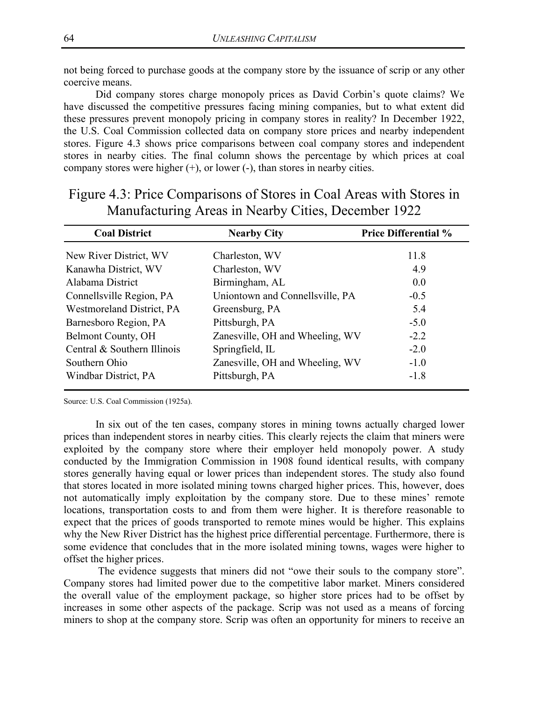not being forced to purchase goods at the company store by the issuance of scrip or any other coercive means.

Did company stores charge monopoly prices as David Corbin's quote claims? We have discussed the competitive pressures facing mining companies, but to what extent did these pressures prevent monopoly pricing in company stores in reality? In December 1922, the U.S. Coal Commission collected data on company store prices and nearby independent stores. Figure 4.3 shows price comparisons between coal company stores and independent stores in nearby cities. The final column shows the percentage by which prices at coal company stores were higher (+), or lower (-), than stores in nearby cities.

| <b>Coal District</b>        | <b>Nearby City</b>              | <b>Price Differential %</b> |
|-----------------------------|---------------------------------|-----------------------------|
| New River District, WV      | Charleston, WV                  | 11.8                        |
| Kanawha District, WV        | Charleston, WV                  | 4.9                         |
| Alabama District            | Birmingham, AL                  | 0.0                         |
| Connellsville Region, PA    | Uniontown and Connellsville, PA | $-0.5$                      |
| Westmoreland District, PA   | Greensburg, PA                  | 5.4                         |
| Barnesboro Region, PA       | Pittsburgh, PA                  | $-5.0$                      |
| Belmont County, OH          | Zanesville, OH and Wheeling, WV | $-2.2$                      |
| Central & Southern Illinois | Springfield, IL                 | $-2.0$                      |
| Southern Ohio               | Zanesville, OH and Wheeling, WV | $-1.0$                      |
| Windbar District, PA        | Pittsburgh, PA                  | $-1.8$                      |

### Figure 4.3: Price Comparisons of Stores in Coal Areas with Stores in Manufacturing Areas in Nearby Cities, December 1922

Source: U.S. Coal Commission (1925a).

In six out of the ten cases, company stores in mining towns actually charged lower prices than independent stores in nearby cities. This clearly rejects the claim that miners were exploited by the company store where their employer held monopoly power. A study conducted by the Immigration Commission in 1908 found identical results, with company stores generally having equal or lower prices than independent stores. The study also found that stores located in more isolated mining towns charged higher prices. This, however, does not automatically imply exploitation by the company store. Due to these mines' remote locations, transportation costs to and from them were higher. It is therefore reasonable to expect that the prices of goods transported to remote mines would be higher. This explains why the New River District has the highest price differential percentage. Furthermore, there is some evidence that concludes that in the more isolated mining towns, wages were higher to offset the higher prices.

 The evidence suggests that miners did not "owe their souls to the company store". Company stores had limited power due to the competitive labor market. Miners considered the overall value of the employment package, so higher store prices had to be offset by increases in some other aspects of the package. Scrip was not used as a means of forcing miners to shop at the company store. Scrip was often an opportunity for miners to receive an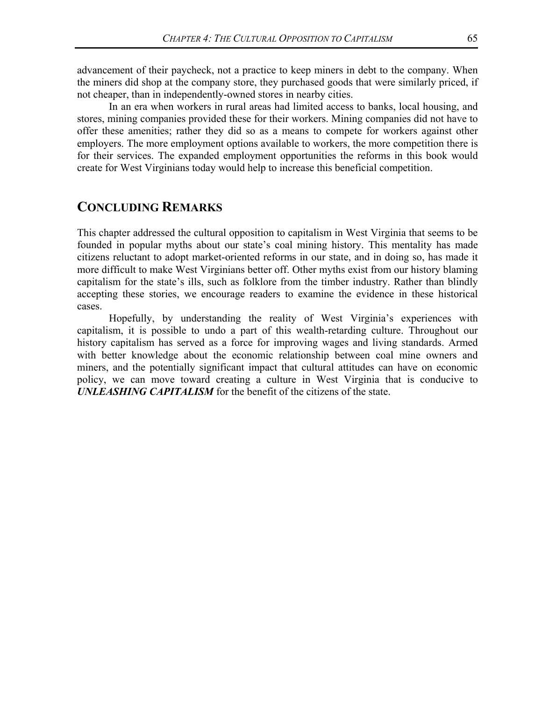advancement of their paycheck, not a practice to keep miners in debt to the company. When the miners did shop at the company store, they purchased goods that were similarly priced, if not cheaper, than in independently-owned stores in nearby cities.

In an era when workers in rural areas had limited access to banks, local housing, and stores, mining companies provided these for their workers. Mining companies did not have to offer these amenities; rather they did so as a means to compete for workers against other employers. The more employment options available to workers, the more competition there is for their services. The expanded employment opportunities the reforms in this book would create for West Virginians today would help to increase this beneficial competition.

#### **CONCLUDING REMARKS**

This chapter addressed the cultural opposition to capitalism in West Virginia that seems to be founded in popular myths about our state's coal mining history. This mentality has made citizens reluctant to adopt market-oriented reforms in our state, and in doing so, has made it more difficult to make West Virginians better off. Other myths exist from our history blaming capitalism for the state's ills, such as folklore from the timber industry. Rather than blindly accepting these stories, we encourage readers to examine the evidence in these historical cases.

Hopefully, by understanding the reality of West Virginia's experiences with capitalism, it is possible to undo a part of this wealth-retarding culture. Throughout our history capitalism has served as a force for improving wages and living standards. Armed with better knowledge about the economic relationship between coal mine owners and miners, and the potentially significant impact that cultural attitudes can have on economic policy, we can move toward creating a culture in West Virginia that is conducive to *UNLEASHING CAPITALISM* for the benefit of the citizens of the state.